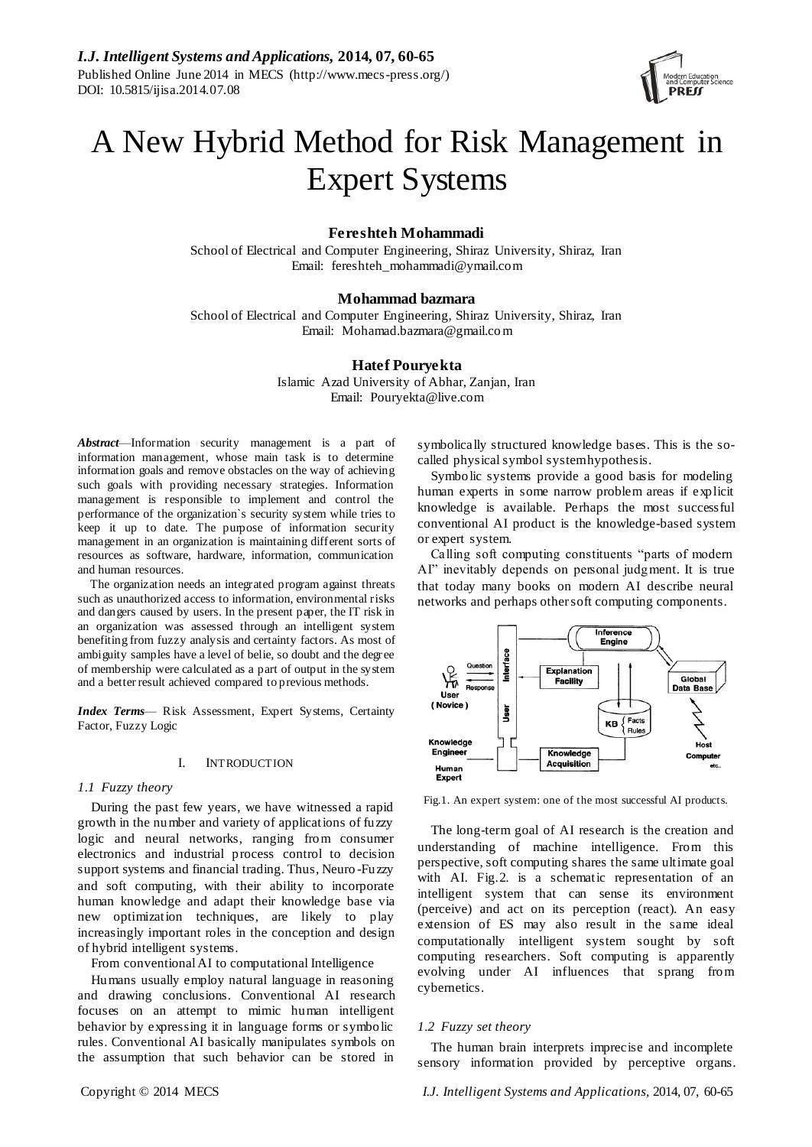

# A New Hybrid Method for Risk Management in Expert Systems

# **Fereshteh Mohammadi**

School of Electrical and Computer Engineering, Shiraz University, Shiraz, Iran Email: fereshteh\_mohammadi@ymail.com

## **Mohammad bazmara**

School of Electrical and Computer Engineering, Shiraz University, Shiraz, Iran Email: [Mohamad.bazmara@gmail.com](mailto:Mohamad.bazmara@gmail.com)

## **Hatef Pouryekta**

Islamic Azad University of Abhar, Zanjan, Iran Email: Pouryekta@live.com

*Abstract*—Information security management is a part of information management, whose main task is to determine information goals and remove obstacles on the way of achieving such goals with providing necessary strategies. Information management is responsible to implement and control the performance of the organization`s security system while tries to keep it up to date. The purpose of information security management in an organization is maintaining different sorts of resources as software, hardware, information, communication and human resources.

The organization needs an integrated program against threats such as unauthorized access to information, environmental risks and dangers caused by users. In the present paper, the IT risk in an organization was assessed through an intelligent system benefiting from fuzzy analysis and certainty factors. As most of ambiguity samples have a level of belie, so doubt and the degr ee of membership were calculated as a part of output in the system and a better result achieved compared to previous methods.

*Index Terms*— Risk Assessment, Expert Systems, Certainty Factor, Fuzzy Logic

#### I. INTRODUCTION

## *1.1 Fuzzy theory*

During the past few years, we have witnessed a rapid growth in the number and variety of applications of fuzzy logic and neural networks, ranging from consumer electronics and industrial process control to decision support systems and financial trading. Thus, Neuro -Fuzzy and soft computing, with their ability to incorporate human knowledge and adapt their knowledge base via new optimization techniques, are likely to play increasingly important roles in the conception and design of hybrid intelligent systems.

From conventional AI to computational Intelligence

Humans usually employ natural language in reasoning and drawing conclusions. Conventional AI research focuses on an attempt to mimic human intelligent behavior by expressing it in language forms or symbolic rules. Conventional AI basically manipulates symbols on the assumption that such behavior can be stored in

symbolically structured knowledge bases. This is the socalled physical symbol system hypothesis.

Symbolic systems provide a good basis for modeling human experts in some narrow problem areas if explicit knowledge is available. Perhaps the most successful conventional AI product is the knowledge-based system or expert system.

Calling soft computing constituents "parts of modern" AI" inevitably depends on personal judgment. It is true that today many books on modern AI describe neural networks and perhaps other soft computing components.



Fig.1. An expert system: one of the most successful AI products.

The long-term goal of AI research is the creation and understanding of machine intelligence. From this perspective, soft computing shares the same ultimate goal with AI. Fig.2. is a schematic representation of an intelligent system that can sense its environment (perceive) and act on its perception (react). An easy extension of ES may also result in the same ideal computationally intelligent system sought by soft computing researchers. Soft computing is apparently evolving under AI influences that sprang from cybernetics.

#### *1.2 Fuzzy set theory*

The human brain interprets imprecise and incomplete sensory information provided by perceptive organs.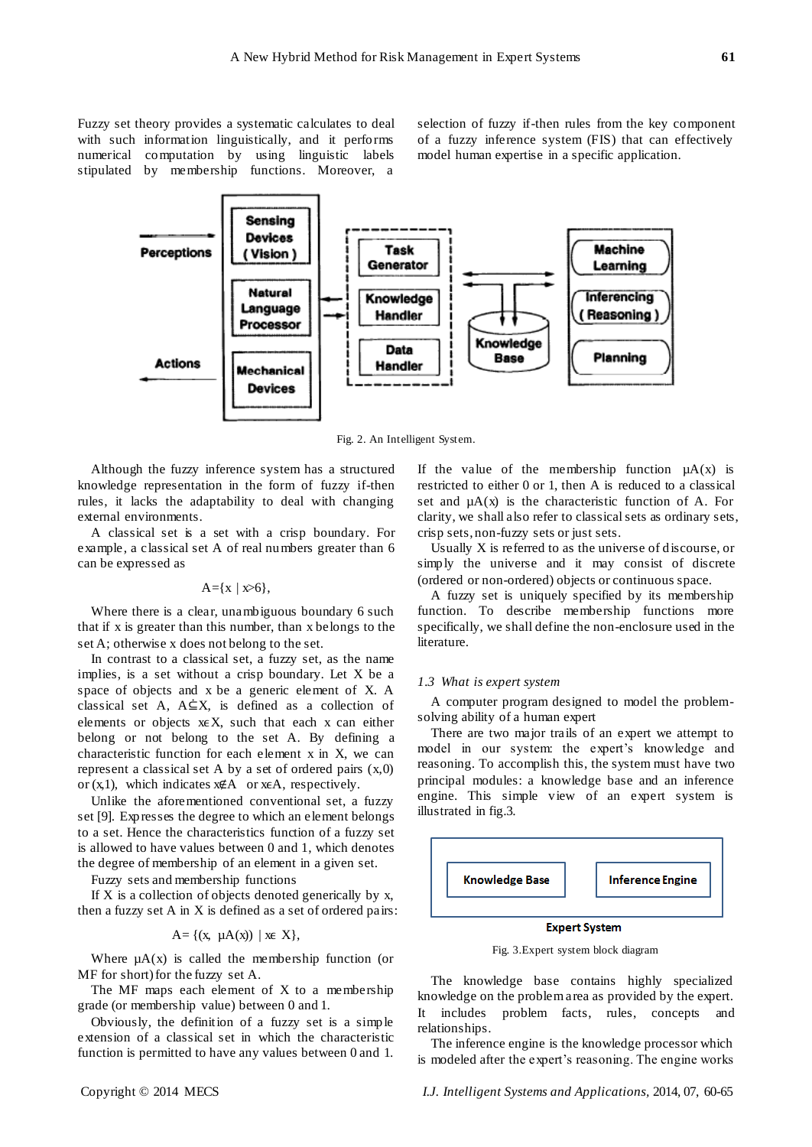Fuzzy set theory provides a systematic calculates to deal with such information linguistically, and it performs numerical computation by using linguistic labels stipulated by membership functions. Moreover, a

selection of fuzzy if-then rules from the key component of a fuzzy inference system (FIS) that can effectively model human expertise in a specific application.



Fig. 2. An Intelligent System.

Although the fuzzy inference system has a structured knowledge representation in the form of fuzzy if-then rules, it lacks the adaptability to deal with changing external environments.

A classical set is a set with a crisp boundary. For example, a classical set A of real numbers greater than 6 can be expressed as

$$
A = \{x \mid x > 6\},\
$$

Where there is a clear, unambiguous boundary 6 such that if x is greater than this number, than x belongs to the set A; otherwise x does not belong to the set.

In contrast to a classical set, a fuzzy set, as the name implies, is a set without a crisp boundary. Let X be a space of objects and x be a generic element of X. A classical set A,  $A \subseteq X$ , is defined as a collection of elements or objects  $x \in X$ , such that each x can either belong or not belong to the set A. By defining a characteristic function for each element x in X, we can represent a classical set A by a set of ordered pairs  $(x,0)$ or  $(x,1)$ , which indicates  $x \notin A$  or  $x \in A$ , respectively.

Unlike the aforementioned conventional set, a fuzzy set [9]. Expresses the degree to which an element belongs to a set. Hence the characteristics function of a fuzzy set is allowed to have values between 0 and 1, which denotes the degree of membership of an element in a given set.

Fuzzy sets and membership functions

If  $X$  is a collection of objects denoted generically by  $x$ , then a fuzzy set A in X is defined as a set of ordered pairs:

$$
A = \{(x, \mu A(x)) \mid xe X\},\
$$

Where  $\mu A(x)$  is called the membership function (or MF for short) for the fuzzy set A.

The MF maps each element of X to a membership grade (or membership value) between 0 and 1.

Obviously, the definition of a fuzzy set is a simple extension of a classical set in which the characteristic function is permitted to have any values between 0 and 1. If the value of the membership function  $\mu A(x)$  is restricted to either 0 or 1, then A is reduced to a classical set and  $\mu A(x)$  is the characteristic function of A. For clarity, we shall also refer to classical sets as ordinary sets, crisp sets, non-fuzzy sets or just sets.

Usually X is referred to as the universe of discourse, or simply the universe and it may consist of discrete (ordered or non-ordered) objects or continuous space.

A fuzzy set is uniquely specified by its membership function. To describe membership functions more specifically, we shall define the non-enclosure used in the literature.

#### *1.3 What is expert system*

A computer program designed to model the problemsolving ability of a human expert

There are two major trails of an expert we attempt to model in our system: the expert's knowledge and reasoning. To accomplish this, the system must have two principal modules: a knowledge base and an inference engine. This simple view of an expert system is illustrated in fig.3.



Fig. 3.Expert system block diagram

The knowledge base contains highly specialized knowledge on the problem area as provided by the expert. It includes problem facts, rules, concepts and relationships.

The inference engine is the knowledge processor which is modeled after the expert's reasoning. The engine works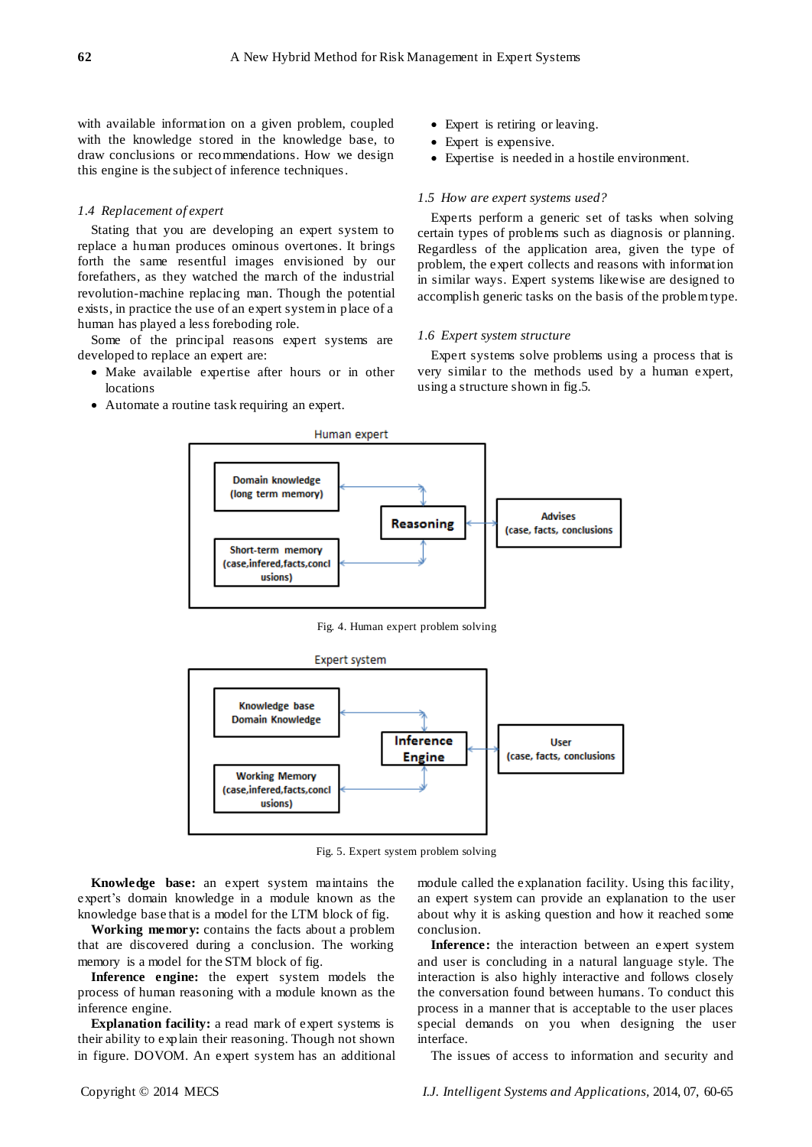with available information on a given problem, coupled with the knowledge stored in the knowledge base, to draw conclusions or recommendations. How we design this engine is the subject of inference techniques.

### *1.4 Replacement of expert*

Stating that you are developing an expert system to replace a human produces ominous overtones. It brings forth the same resentful images envisioned by our forefathers, as they watched the march of the industrial revolution-machine replacing man. Though the potential exists, in practice the use of an expert system in place of a human has played a less foreboding role.

Some of the principal reasons expert systems are developed to replace an expert are:

- Make available expertise after hours or in other locations
- Automate a routine task requiring an expert.
- Expert is retiring or leaving.
- Expert is expensive.
- Expertise is needed in a hostile environment.

## *1.5 How are expert systems used?*

Experts perform a generic set of tasks when solving certain types of problems such as diagnosis or planning. Regardless of the application area, given the type of problem, the expert collects and reasons with information in similar ways. Expert systems likewise are designed to accomplish generic tasks on the basis of the problem type.

#### *1.6 Expert system structure*

Expert systems solve problems using a process that is very similar to the methods used by a human expert, using a structure shown in fig.5.



Fig. 4. Human expert problem solving



Fig. 5. Expert system problem solving

**Knowledge base:** an expert system maintains the expert's domain knowledge in a module known as the knowledge base that is a model for the LTM block of fig.

**Working memory:** contains the facts about a problem that are discovered during a conclusion. The working memory is a model for the STM block of fig.

**Inference engine:** the expert system models the process of human reasoning with a module known as the inference engine.

**Explanation facility:** a read mark of expert systems is their ability to explain their reasoning. Though not shown in figure. DOVOM. An expert system has an additional module called the explanation facility. Using this facility, an expert system can provide an explanation to the user about why it is asking question and how it reached some conclusion.

**Inference:** the interaction between an expert system and user is concluding in a natural language style. The interaction is also highly interactive and follows closely the conversation found between humans. To conduct this process in a manner that is acceptable to the user places special demands on you when designing the user interface.

The issues of access to information and security and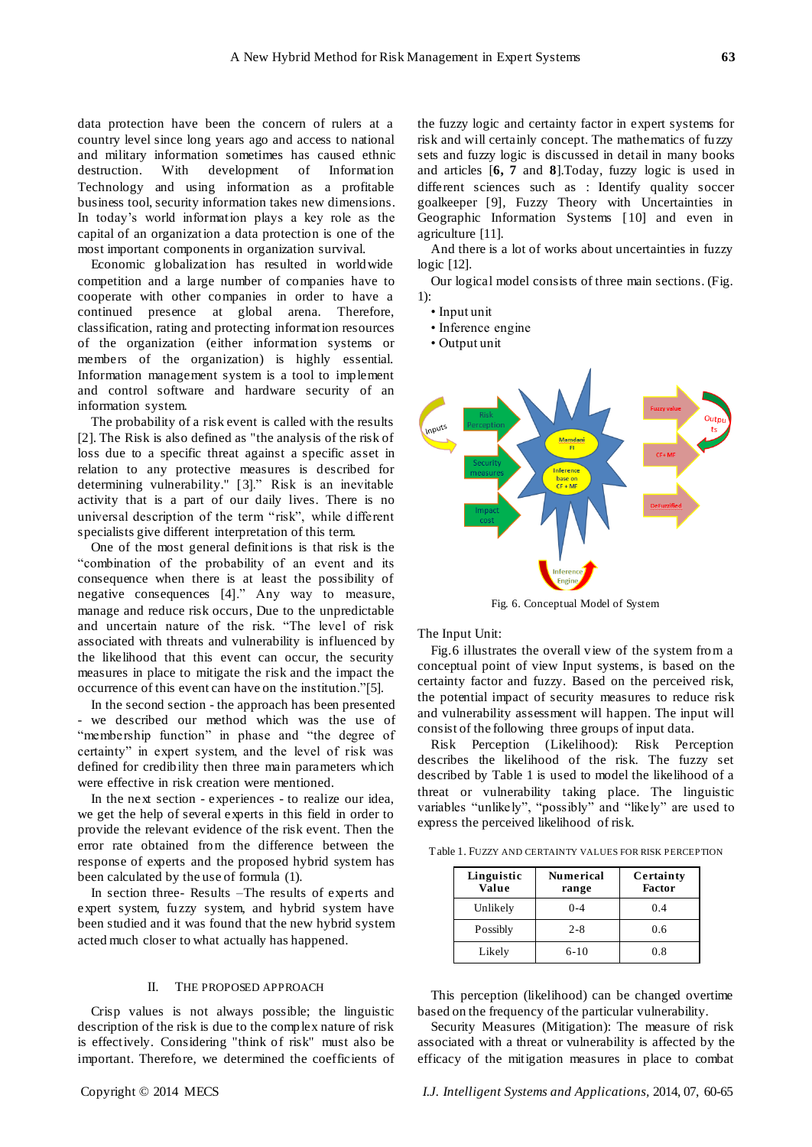data protection have been the concern of rulers at a country level since long years ago and access to national and military information sometimes has caused ethnic destruction. With development of Information Technology and using information as a profitable business tool, security information takes new dimensions. In today's world information plays a key role as the capital of an organization a data protection is one of the most important components in organization survival.

Economic globalization has resulted in worldwide competition and a large number of companies have to cooperate with other companies in order to have a continued presence at global arena. Therefore, classification, rating and protecting information resources of the organization (either information systems or members of the organization) is highly essential. Information management system is a tool to implement and control software and hardware security of an information system.

The probability of a risk event is called with the results [2]. The Risk is also defined as "the analysis of the risk of loss due to a specific threat against a specific asset in relation to any protective measures is described for determining vulnerability." [3]." Risk is an inevitable activity that is a part of our daily lives. There is no universal description of the term "risk", while different specialists give different interpretation of this term.

One of the most general definitions is that risk is the "combination of the probability of an event and its consequence when there is at least the possibility of negative consequences [4]." Any way to measure, manage and reduce risk occurs, Due to the unpredictable and uncertain nature of the risk. "The level of risk associated with threats and vulnerability is influenced by the likelihood that this event can occur, the security measures in place to mitigate the risk and the impact the occurrence of this event can have on the institution."[5].

In the second section - the approach has been presented - we described our method which was the use of "membership function" in phase and "the degree of certainty" in expert system, and the level of risk was defined for credibility then three main parameters which were effective in risk creation were mentioned.

In the next section - experiences - to realize our idea, we get the help of several experts in this field in order to provide the relevant evidence of the risk event. Then the error rate obtained from the difference between the response of experts and the proposed hybrid system has been calculated by the use of formula (1).

In section three- Results –The results of experts and expert system, fuzzy system, and hybrid system have been studied and it was found that the new hybrid system acted much closer to what actually has happened.

### II. THE PROPOSED APPROACH

Crisp values is not always possible; the linguistic description of the risk is due to the complex nature of risk is effectively. Considering "think of risk" must also be important. Therefore, we determined the coefficients of the fuzzy logic and certainty factor in expert systems for risk and will certainly concept. The mathematics of fuzzy sets and fuzzy logic is discussed in detail in many books and articles [**6, 7** and **8**].Today, fuzzy logic is used in different sciences such as : Identify quality soccer goalkeeper [9], Fuzzy Theory with Uncertainties in Geographic Information Systems [10] and even in agriculture [11].

And there is a lot of works about uncertainties in fuzzy logic [12].

Our logical model consists of three main sections. (Fig. 1):

• Input unit

• Inference engine

• Output unit



Fig. 6. Conceptual Model of System

The Input Unit:

Fig.6 illustrates the overall view of the system from a conceptual point of view Input systems, is based on the certainty factor and fuzzy. Based on the perceived risk, the potential impact of security measures to reduce risk and vulnerability assessment will happen. The input will consist of the following three groups of input data.

Risk Perception (Likelihood): Risk Perception describes the likelihood of the risk. The fuzzy set described by Table 1 is used to model the likelihood of a threat or vulnerability taking place. The linguistic variables "unlikely", "possibly" and "likely" are used to express the perceived likelihood of risk.

Table 1. FUZZY AND CERTAINTY VALUES FOR RISK PERCEPTION

| Linguistic<br>Value | <b>Numerical</b><br>range | Certainty<br><b>Factor</b> |
|---------------------|---------------------------|----------------------------|
| Unlikely            | $0 - 4$                   | 0.4                        |
| Possibly            | $2 - 8$                   | 0.6                        |
| Likely              | 6-10                      | 0.8                        |

This perception (likelihood) can be changed overtime based on the frequency of the particular vulnerability.

Security Measures (Mitigation): The measure of risk associated with a threat or vulnerability is affected by the efficacy of the mitigation measures in place to combat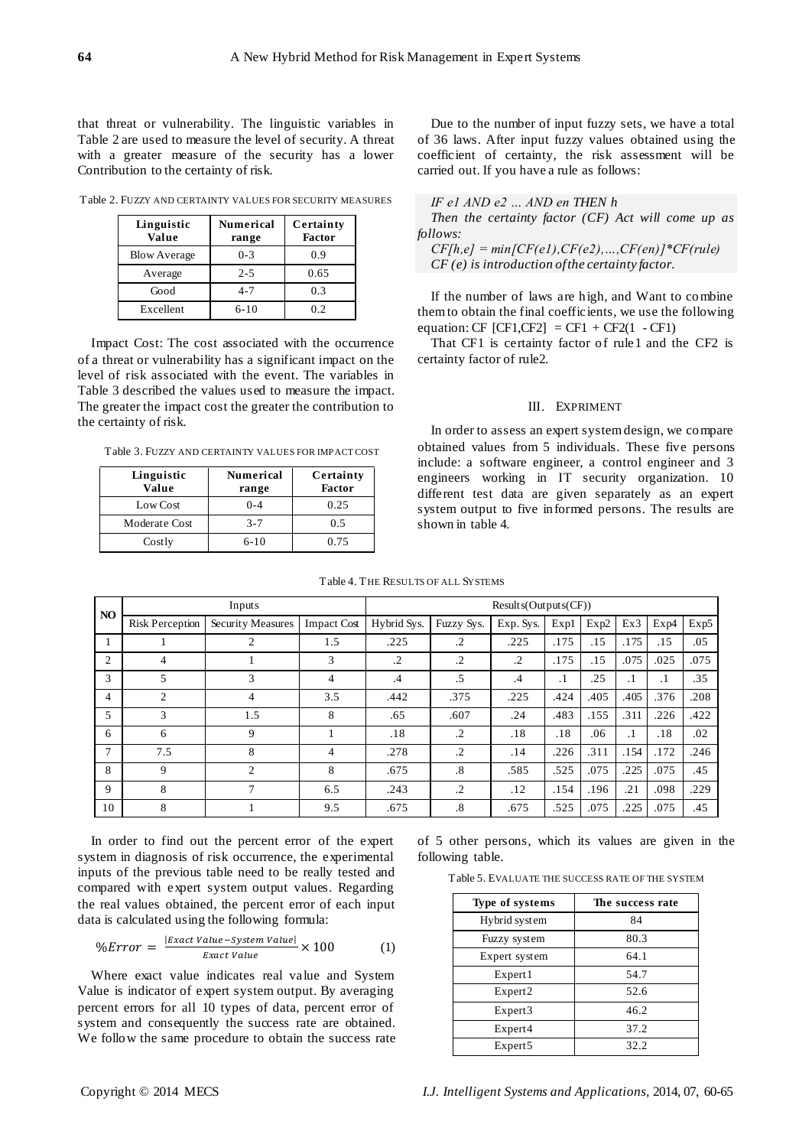that threat or vulnerability. The linguistic variables in Table 2 are used to measure the level of security. A threat with a greater measure of the security has a lower Contribution to the certainty of risk.

Table 2. FUZZY AND CERTAINTY VALUES FOR SECURITY MEASURES

| Linguistic<br>Value | <b>Numerical</b><br>range | Certainty<br><b>Factor</b> |
|---------------------|---------------------------|----------------------------|
| <b>Blow Average</b> | $0 - 3$                   | 0.9                        |
| Average             | $2 - 5$                   | 0.65                       |
| Good                | $4 - 7$                   | 0.3                        |
| Excellent           | $6-10$                    | 12                         |

Impact Cost: The cost associated with the occurrence of a threat or vulnerability has a significant impact on the level of risk associated with the event. The variables in Table 3 described the values used to measure the impact. The greater the impact cost the greater the contribution to the certainty of risk.

Table 3. FUZZY AND CERTAINTY VALUES FOR IMPACT COST

| Linguistic<br>Value | <b>Numerical</b><br>range | Certainty<br><b>Factor</b> |
|---------------------|---------------------------|----------------------------|
| Low Cost            | $0 - 4$                   | 0.25                       |
| Moderate Cost       | $3 - 7$                   | 0.5                        |
| Costly              | $6-10$                    | 0.75                       |

Due to the number of input fuzzy sets, we have a total of 36 laws. After input fuzzy values obtained using the coefficient of certainty, the risk assessment will be carried out. If you have a rule as follows:

|  |  |  | IF el AND e2 $\ldots$ AND en THEN h                   |  |  |
|--|--|--|-------------------------------------------------------|--|--|
|  |  |  | $\sigma$ $\sigma$ $\sigma$ $\sigma$ $\sigma$ $\sigma$ |  |  |

*Then the certainty factor (CF) Act will come up as follows:* 

*CF[h,e] = min[CF(e1),CF(e2),…,CF(en)]\*CF(rule) CF (e) is introduction of the certainty factor.*

If the number of laws are high, and Want to combine them to obtain the final coefficients, we use the following equation: CF  $[CF1, CF2] = CF1 + CF2(1 - CF1)$ 

That CF1 is certainty factor of rule1 and the CF2 is certainty factor of rule2.

## III. EXPRIMENT

In order to assess an expert system design, we compare obtained values from 5 individuals. These five persons include: a software engineer, a control engineer and 3 engineers working in IT security organization. 10 different test data are given separately as an expert system output to five informed persons. The results are shown in table 4.

| N <sub>O</sub> | Inputs                 |                   |                    | Results(Outputs(CF)) |                        |           |           |      |           |           |      |
|----------------|------------------------|-------------------|--------------------|----------------------|------------------------|-----------|-----------|------|-----------|-----------|------|
|                | <b>Risk Perception</b> | Security Measures | <b>Impact Cost</b> | Hybrid Sys.          | Fuzzy Sys.             | Exp. Sys. | Exp1      | Exp2 | Ex3       | Exp4      | Exp5 |
|                |                        | $\overline{2}$    | 1.5                | .225                 | $\cdot$ 2              | .225      | .175      | .15  | .175      | .15       | .05  |
| $\overline{2}$ | 4                      |                   | 3                  | $\cdot$              | $\cdot$                | $\cdot$   | .175      | .15  | .075      | .025      | .075 |
| 3              | 5                      | 3                 | 4                  | .4                   | .5                     | .4        | $\cdot$ 1 | .25  | $\cdot$ 1 | $\cdot$ 1 | .35  |
| $\overline{4}$ | $\overline{2}$         | 4                 | 3.5                | .442                 | .375                   | .225      | .424      | .405 | .405      | .376      | .208 |
| 5              | 3                      | 1.5               | 8                  | .65                  | .607                   | .24       | .483      | .155 | .311      | .226      | .422 |
| 6              | 6                      | 9                 |                    | .18                  | $\cdot$                | .18       | .18       | .06  | $\cdot$ 1 | .18       | .02  |
| 7              | 7.5                    | 8                 | 4                  | .278                 | $\cdot$                | .14       | .226      | .311 | .154      | .172      | .246 |
| 8              | 9                      | $\overline{2}$    | 8                  | .675                 | $\cdot$ <sup>8</sup> . | .585      | .525      | .075 | .225      | .075      | .45  |
| 9              | 8                      | 7                 | 6.5                | .243                 | $\cdot$                | .12       | .154      | .196 | .21       | .098      | .229 |
| 10             | 8                      |                   | 9.5                | .675                 | .8                     | .675      | .525      | .075 | .225      | .075      | .45  |

Table 4. T HE RESULTS OF ALL SYSTEMS

In order to find out the percent error of the expert system in diagnosis of risk occurrence, the experimental inputs of the previous table need to be really tested and compared with expert system output values. Regarding the real values obtained, the percent error of each input data is calculated using the following formula:

$$
\%Error = \frac{|Exact Value - System Value|}{Exact Value} \times 100 \tag{1}
$$

Where exact value indicates real value and System Value is indicator of expert system output. By averaging percent errors for all 10 types of data, percent error of system and consequently the success rate are obtained. We follow the same procedure to obtain the success rate of 5 other persons, which its values are given in the following table.

|  |  | Table 5. EVALUATE THE SUCCESS RATE OF THE SYSTEM |  |  |
|--|--|--------------------------------------------------|--|--|
|--|--|--------------------------------------------------|--|--|

| Type of systems     | The success rate |
|---------------------|------------------|
| Hybrid system       | 84               |
| Fuzzy system        | 80.3             |
| Expert system       | 64.1             |
| Expert 1            | 54.7             |
| Expert <sub>2</sub> | 52.6             |
| Expert <sub>3</sub> | 46.2             |
| Expert4             | 37.2             |
| Expert <sub>5</sub> | 32.2             |